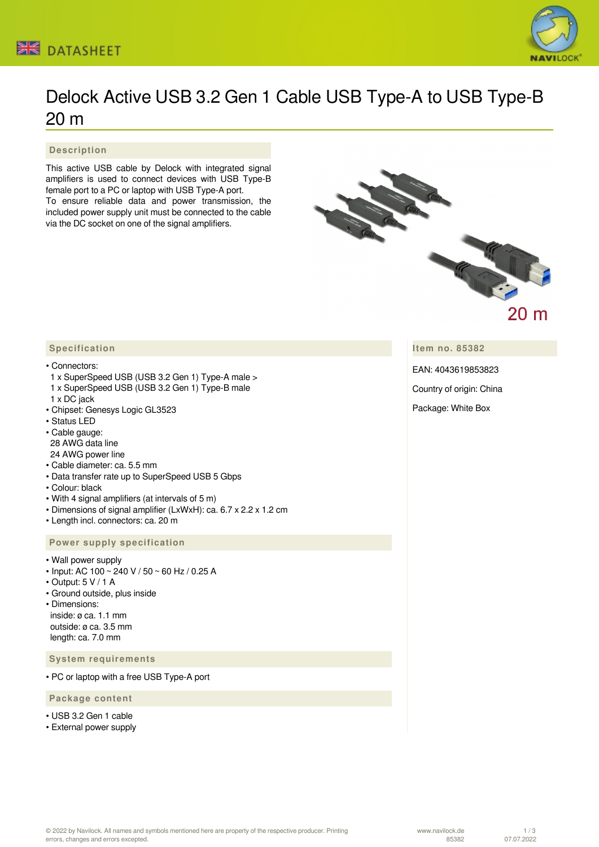



# Delock Active USB 3.2 Gen 1 Cable USB Type-A to USB Type-B 20 m

 **Description**

This active USB cable by Delock with integrated signal amplifiers is used to connect devices with USB Type-B female port to a PC or laptop with USB Type-A port. To ensure reliable data and power transmission, the included power supply unit must be connected to the cable via the DC socket on one of the signal amplifiers.



**Item no. 85382**

EAN: 4043619853823

Country of origin: China

Package: White Box

## **Specification**

#### • Connectors:

- 1 x SuperSpeed USB (USB 3.2 Gen 1) Type-A male > 1 x SuperSpeed USB (USB 3.2 Gen 1) Type-B male
- 1 x DC jack
- Chipset: Genesys Logic GL3523
- Status LED
- Cable gauge: 28 AWG data line
- 24 AWG power line
- Cable diameter: ca. 5.5 mm
- Data transfer rate up to SuperSpeed USB 5 Gbps
- Colour: black
- With 4 signal amplifiers (at intervals of 5 m)
- Dimensions of signal amplifier (LxWxH): ca. 6.7 x 2.2 x 1.2 cm
- Length incl. connectors: ca. 20 m

### **Power supply specification**

- Wall power supply
- Input: AC 100 ~ 240 V / 50 ~ 60 Hz / 0.25 A
- Output: 5 V / 1 A
- Ground outside, plus inside
- Dimensions:

 inside: ø ca. 1.1 mm outside: ø ca. 3.5 mm length: ca. 7.0 mm

 **System requirements**

• PC or laptop with a free USB Type-A port

 **Package content**

- USB 3.2 Gen 1 cable
- External power supply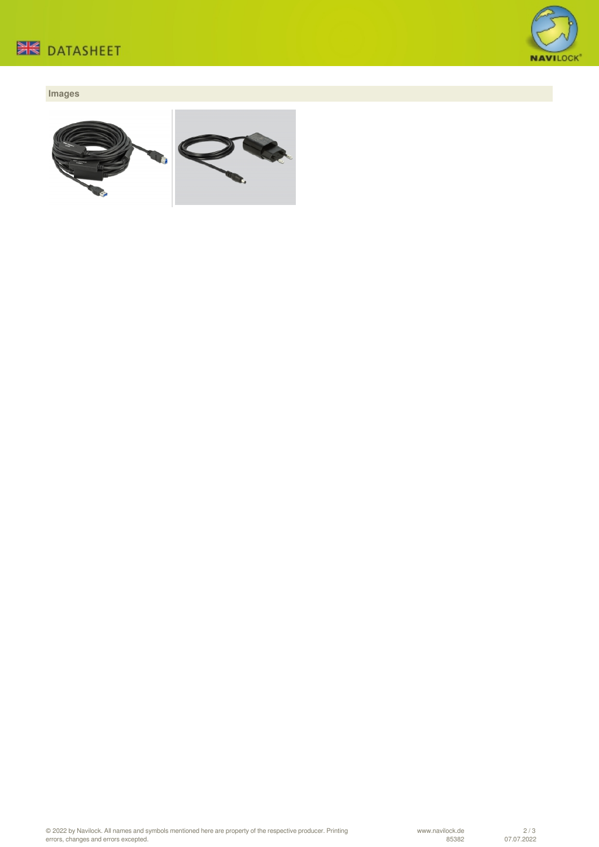



# **Images**